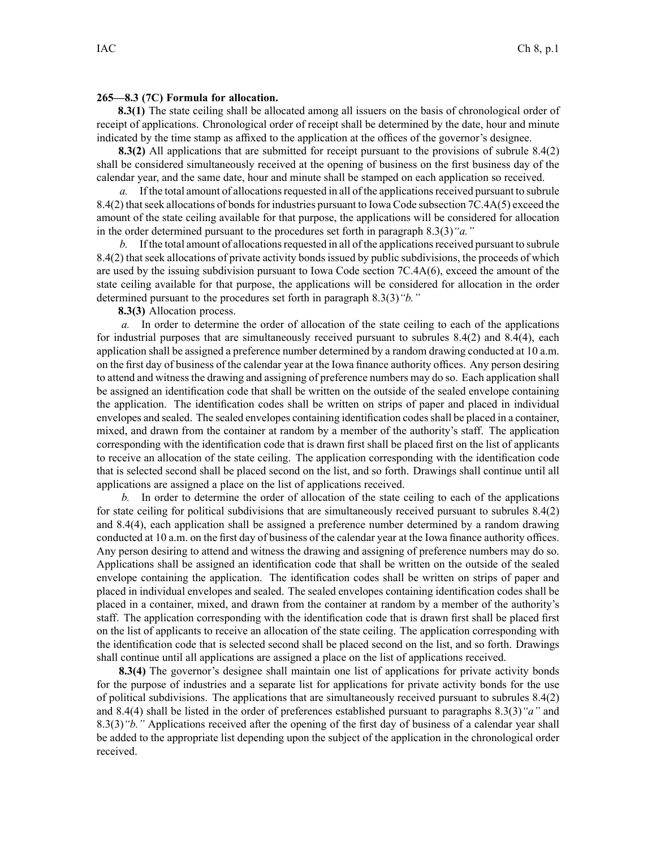## **265—8.3 (7C) Formula for allocation.**

**8.3(1)** The state ceiling shall be allocated among all issuers on the basis of chronological order of receipt of applications. Chronological order of receipt shall be determined by the date, hour and minute indicated by the time stamp as affixed to the application at the offices of the governor's designee.

**8.3(2)** All applications that are submitted for receipt pursuant to the provisions of subrule 8.4(2) shall be considered simultaneously received at the opening of business on the first business day of the calendar year, and the same date, hour and minute shall be stamped on each application so received.

*a.* If the total amount of allocations requested in all of the applications received pursuant to subrule 8.4(2) that seek allocations of bonds for industries pursuant to Iowa Code subsection 7C.4A(5) exceed the amount of the state ceiling available for that purpose, the applications will be considered for allocation in the order determined pursuan<sup>t</sup> to the procedures set forth in paragraph 8.3(3)*"a."*

*b.* If the total amount of allocations requested in all of the applications received pursuant to subrule 8.4(2) that seek allocations of private activity bonds issued by public subdivisions, the proceeds of which are used by the issuing subdivision pursuan<sup>t</sup> to Iowa Code section 7C.4A(6), exceed the amount of the state ceiling available for that purpose, the applications will be considered for allocation in the order determined pursuan<sup>t</sup> to the procedures set forth in paragraph 8.3(3)*"b."*

**8.3(3)** Allocation process.

*a.* In order to determine the order of allocation of the state ceiling to each of the applications for industrial purposes that are simultaneously received pursuan<sup>t</sup> to subrules 8.4(2) and 8.4(4), each application shall be assigned <sup>a</sup> preference number determined by <sup>a</sup> random drawing conducted at 10 a.m. on the first day of business of the calendar year at the Iowa finance authority offices. Any person desiring to attend and witnessthe drawing and assigning of preference numbers may do so. Each application shall be assigned an identification code that shall be written on the outside of the sealed envelope containing the application. The identification codes shall be written on strips of paper and placed in individual envelopes and sealed. The sealed envelopes containing identification codesshall be placed in <sup>a</sup> container, mixed, and drawn from the container at random by <sup>a</sup> member of the authority's staff. The application corresponding with the identification code that is drawn first shall be placed first on the list of applicants to receive an allocation of the state ceiling. The application corresponding with the identification code that is selected second shall be placed second on the list, and so forth. Drawings shall continue until all applications are assigned <sup>a</sup> place on the list of applications received.

*b.* In order to determine the order of allocation of the state ceiling to each of the applications for state ceiling for political subdivisions that are simultaneously received pursuan<sup>t</sup> to subrules 8.4(2) and 8.4(4), each application shall be assigned <sup>a</sup> preference number determined by <sup>a</sup> random drawing conducted at 10 a.m. on the first day of business of the calendar year at the Iowa finance authority offices. Any person desiring to attend and witness the drawing and assigning of preference numbers may do so. Applications shall be assigned an identification code that shall be written on the outside of the sealed envelope containing the application. The identification codes shall be written on strips of paper and placed in individual envelopes and sealed. The sealed envelopes containing identification codes shall be placed in <sup>a</sup> container, mixed, and drawn from the container at random by <sup>a</sup> member of the authority's staff. The application corresponding with the identification code that is drawn first shall be placed first on the list of applicants to receive an allocation of the state ceiling. The application corresponding with the identification code that is selected second shall be placed second on the list, and so forth. Drawings shall continue until all applications are assigned <sup>a</sup> place on the list of applications received.

**8.3(4)** The governor's designee shall maintain one list of applications for private activity bonds for the purpose of industries and <sup>a</sup> separate list for applications for private activity bonds for the use of political subdivisions. The applications that are simultaneously received pursuan<sup>t</sup> to subrules 8.4(2) and 8.4(4) shall be listed in the order of preferences established pursuan<sup>t</sup> to paragraphs 8.3(3)*"a"* and 8.3(3)*"b."* Applications received after the opening of the first day of business of <sup>a</sup> calendar year shall be added to the appropriate list depending upon the subject of the application in the chronological order received.